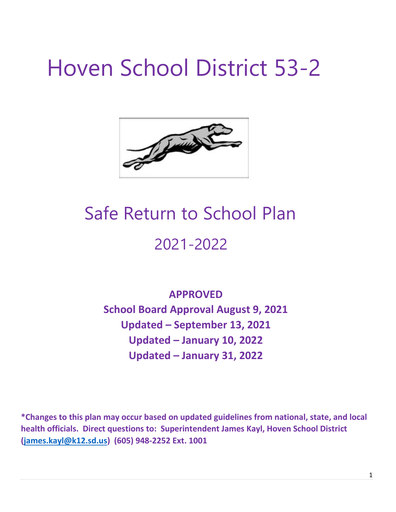# Hoven School District 53-2



## Safe Return to School Plan 2021-2022

**APPROVED School Board Approval August 9, 2021 Updated – September 13, 2021 Updated – January 10, 2022 Updated – January 31, 2022**

**\*Changes to this plan may occur based on updated guidelines from national, state, and local health officials. Direct questions to: Superintendent James Kayl, Hoven School District [\(james.kayl@k12.sd.us\)](mailto:james.kayl@k12.sd.us) (605) 948-2252 Ext. 1001**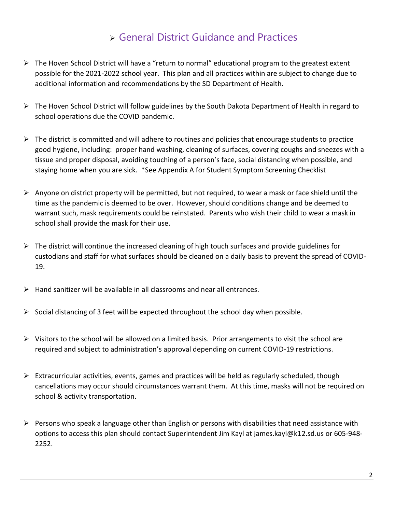## General District Guidance and Practices

- $\triangleright$  The Hoven School District will have a "return to normal" educational program to the greatest extent possible for the 2021-2022 school year. This plan and all practices within are subject to change due to additional information and recommendations by the SD Department of Health.
- The Hoven School District will follow guidelines by the South Dakota Department of Health in regard to school operations due the COVID pandemic.
- $\triangleright$  The district is committed and will adhere to routines and policies that encourage students to practice good hygiene, including: proper hand washing, cleaning of surfaces, covering coughs and sneezes with a tissue and proper disposal, avoiding touching of a person's face, social distancing when possible, and staying home when you are sick. \*See Appendix A for Student Symptom Screening Checklist
- $\triangleright$  Anyone on district property will be permitted, but not required, to wear a mask or face shield until the time as the pandemic is deemed to be over. However, should conditions change and be deemed to warrant such, mask requirements could be reinstated. Parents who wish their child to wear a mask in school shall provide the mask for their use.
- $\triangleright$  The district will continue the increased cleaning of high touch surfaces and provide guidelines for custodians and staff for what surfaces should be cleaned on a daily basis to prevent the spread of COVID-19.
- $\triangleright$  Hand sanitizer will be available in all classrooms and near all entrances.
- $\triangleright$  Social distancing of 3 feet will be expected throughout the school day when possible.
- $\triangleright$  Visitors to the school will be allowed on a limited basis. Prior arrangements to visit the school are required and subject to administration's approval depending on current COVID-19 restrictions.
- $\triangleright$  Extracurricular activities, events, games and practices will be held as regularly scheduled, though cancellations may occur should circumstances warrant them. At this time, masks will not be required on school & activity transportation.
- $\triangleright$  Persons who speak a language other than English or persons with disabilities that need assistance with options to access this plan should contact Superintendent Jim Kayl at james.kayl@k12.sd.us or 605-948- 2252.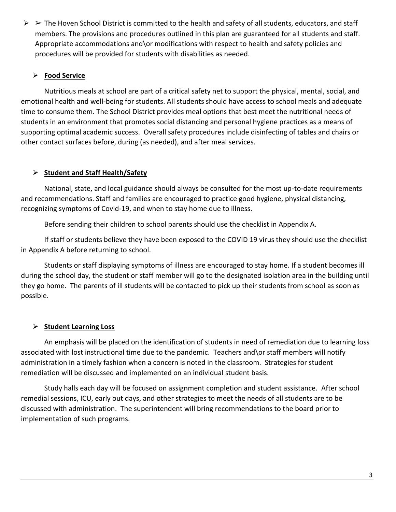$\triangleright$   $\triangleright$  The Hoven School District is committed to the health and safety of all students, educators, and staff members. The provisions and procedures outlined in this plan are guaranteed for all students and staff. Appropriate accommodations and\or modifications with respect to health and safety policies and procedures will be provided for students with disabilities as needed.

#### **Food Service**

Nutritious meals at school are part of a critical safety net to support the physical, mental, social, and emotional health and well-being for students. All students should have access to school meals and adequate time to consume them. The School District provides meal options that best meet the nutritional needs of students in an environment that promotes social distancing and personal hygiene practices as a means of supporting optimal academic success. Overall safety procedures include disinfecting of tables and chairs or other contact surfaces before, during (as needed), and after meal services.

#### **Student and Staff Health/Safety**

National, state, and local guidance should always be consulted for the most up-to-date requirements and recommendations. Staff and families are encouraged to practice good hygiene, physical distancing, recognizing symptoms of Covid-19, and when to stay home due to illness.

Before sending their children to school parents should use the checklist in Appendix A.

If staff or students believe they have been exposed to the COVID 19 virus they should use the checklist in Appendix A before returning to school.

Students or staff displaying symptoms of illness are encouraged to stay home. If a student becomes ill during the school day, the student or staff member will go to the designated isolation area in the building until they go home. The parents of ill students will be contacted to pick up their students from school as soon as possible.

#### **Student Learning Loss**

An emphasis will be placed on the identification of students in need of remediation due to learning loss associated with lost instructional time due to the pandemic. Teachers and\or staff members will notify administration in a timely fashion when a concern is noted in the classroom. Strategies for student remediation will be discussed and implemented on an individual student basis.

Study halls each day will be focused on assignment completion and student assistance. After school remedial sessions, ICU, early out days, and other strategies to meet the needs of all students are to be discussed with administration. The superintendent will bring recommendations to the board prior to implementation of such programs.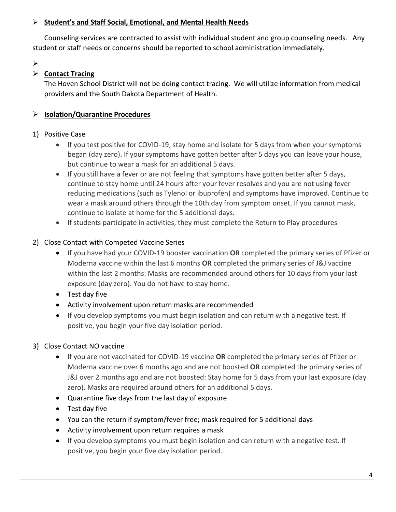#### **Student's and Staff Social, Emotional, and Mental Health Needs**

Counseling services are contracted to assist with individual student and group counseling needs. Any student or staff needs or concerns should be reported to school administration immediately.

 $\blacktriangleright$ 

#### **Example 7 Contact Tracing**

The Hoven School District will not be doing contact tracing. We will utilize information from medical providers and the South Dakota Department of Health.

#### **Isolation/Quarantine Procedures**

#### 1) Positive Case

- If you test positive for COVID-19, stay home and isolate for 5 days from when your symptoms began (day zero). If your symptoms have gotten better after 5 days you can leave your house, but continue to wear a mask for an additional 5 days.
- If you still have a fever or are not feeling that symptoms have gotten better after 5 days, continue to stay home until 24 hours after your fever resolves and you are not using fever reducing medications (such as Tylenol or ibuprofen) and symptoms have improved. Continue to wear a mask around others through the 10th day from symptom onset. If you cannot mask, continue to isolate at home for the 5 additional days.
- If students participate in activities, they must complete the Return to Play procedures

#### 2) Close Contact with Competed Vaccine Series

- If you have had your COVID-19 booster vaccination **OR** completed the primary series of Pfizer or Moderna vaccine within the last 6 months **OR** completed the primary series of J&J vaccine within the last 2 months: Masks are recommended around others for 10 days from your last exposure (day zero). You do not have to stay home.
- Test day five
- Activity involvement upon return masks are recommended
- If you develop symptoms you must begin isolation and can return with a negative test. If positive, you begin your five day isolation period.

#### 3) Close Contact NO vaccine

- If you are not vaccinated for COVID-19 vaccine **OR** completed the primary series of Pfizer or Moderna vaccine over 6 months ago and are not boosted **OR** completed the primary series of J&J over 2 months ago and are not boosted: Stay home for 5 days from your last exposure (day zero). Masks are required around others for an additional 5 days.
- Quarantine five days from the last day of exposure
- Test day five
- You can the return if symptom/fever free; mask required for 5 additional days
- Activity involvement upon return requires a mask
- If you develop symptoms you must begin isolation and can return with a negative test. If positive, you begin your five day isolation period.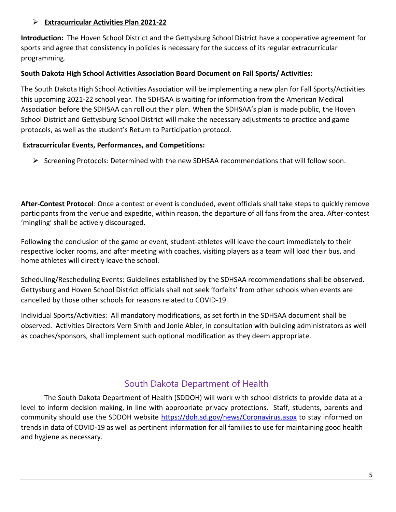#### **Extracurricular Activities Plan 2021-22**

**Introduction:** The Hoven School District and the Gettysburg School District have a cooperative agreement for sports and agree that consistency in policies is necessary for the success of its regular extracurricular programming.

#### **South Dakota High School Activities Association Board Document on Fall Sports/ Activities:**

The South Dakota High School Activities Association will be implementing a new plan for Fall Sports/Activities this upcoming 2021-22 school year. The SDHSAA is waiting for information from the American Medical Association before the SDHSAA can roll out their plan. When the SDHSAA's plan is made public, the Hoven School District and Gettysburg School District will make the necessary adjustments to practice and game protocols, as well as the student's Return to Participation protocol.

#### **Extracurricular Events, Performances, and Competitions:**

 $\triangleright$  Screening Protocols: Determined with the new SDHSAA recommendations that will follow soon.

**After-Contest Protocol**: Once a contest or event is concluded, event officials shall take steps to quickly remove participants from the venue and expedite, within reason, the departure of all fans from the area. After-contest 'mingling' shall be actively discouraged.

Following the conclusion of the game or event, student-athletes will leave the court immediately to their respective locker rooms, and after meeting with coaches, visiting players as a team will load their bus, and home athletes will directly leave the school.

Scheduling/Rescheduling Events: Guidelines established by the SDHSAA recommendations shall be observed. Gettysburg and Hoven School District officials shall not seek 'forfeits' from other schools when events are cancelled by those other schools for reasons related to COVID-19.

Individual Sports/Activities: All mandatory modifications, as set forth in the SDHSAA document shall be observed. Activities Directors Vern Smith and Jonie Abler, in consultation with building administrators as well as coaches/sponsors, shall implement such optional modification as they deem appropriate.

### South Dakota Department of Health

The South Dakota Department of Health (SDDOH) will work with school districts to provide data at a level to inform decision making, in line with appropriate privacy protections. Staff, students, parents and community should use the SDDOH website<https://doh.sd.gov/news/Coronavirus.aspx> [t](https://doh.sd.gov/news/Coronavirus.aspx)o stay informed on trends in data of COVID-19 as well as pertinent information for all families to use for maintaining good health and hygiene as necessary.